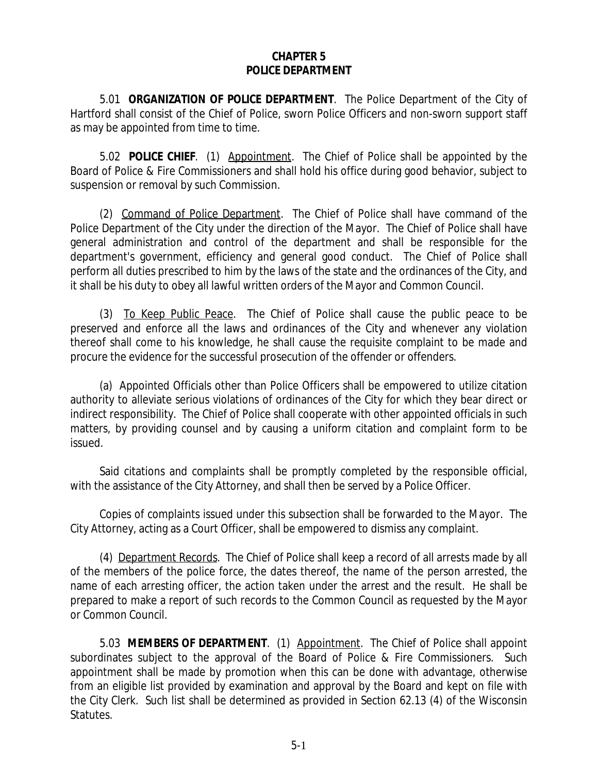## **CHAPTER 5 POLICE DEPARTMENT**

5.01 **ORGANIZATION OF POLICE DEPARTMENT**. The Police Department of the City of Hartford shall consist of the Chief of Police, sworn Police Officers and non-sworn support staff as may be appointed from time to time.

5.02 **POLICE CHIEF**. (1) Appointment. The Chief of Police shall be appointed by the Board of Police & Fire Commissioners and shall hold his office during good behavior, subject to suspension or removal by such Commission.

(2) Command of Police Department. The Chief of Police shall have command of the Police Department of the City under the direction of the Mayor. The Chief of Police shall have general administration and control of the department and shall be responsible for the department's government, efficiency and general good conduct. The Chief of Police shall perform all duties prescribed to him by the laws of the state and the ordinances of the City, and it shall be his duty to obey all lawful written orders of the Mayor and Common Council.

(3) To Keep Public Peace. The Chief of Police shall cause the public peace to be preserved and enforce all the laws and ordinances of the City and whenever any violation thereof shall come to his knowledge, he shall cause the requisite complaint to be made and procure the evidence for the successful prosecution of the offender or offenders.

(a) Appointed Officials other than Police Officers shall be empowered to utilize citation authority to alleviate serious violations of ordinances of the City for which they bear direct or indirect responsibility. The Chief of Police shall cooperate with other appointed officials in such matters, by providing counsel and by causing a uniform citation and complaint form to be issued.

Said citations and complaints shall be promptly completed by the responsible official, with the assistance of the City Attorney, and shall then be served by a Police Officer.

Copies of complaints issued under this subsection shall be forwarded to the Mayor. The City Attorney, acting as a Court Officer, shall be empowered to dismiss any complaint.

(4) Department Records. The Chief of Police shall keep a record of all arrests made by all of the members of the police force, the dates thereof, the name of the person arrested, the name of each arresting officer, the action taken under the arrest and the result. He shall be prepared to make a report of such records to the Common Council as requested by the Mayor or Common Council.

5.03 **MEMBERS OF DEPARTMENT**. (1) Appointment. The Chief of Police shall appoint subordinates subject to the approval of the Board of Police & Fire Commissioners. Such appointment shall be made by promotion when this can be done with advantage, otherwise from an eligible list provided by examination and approval by the Board and kept on file with the City Clerk. Such list shall be determined as provided in Section 62.13 (4) of the Wisconsin Statutes.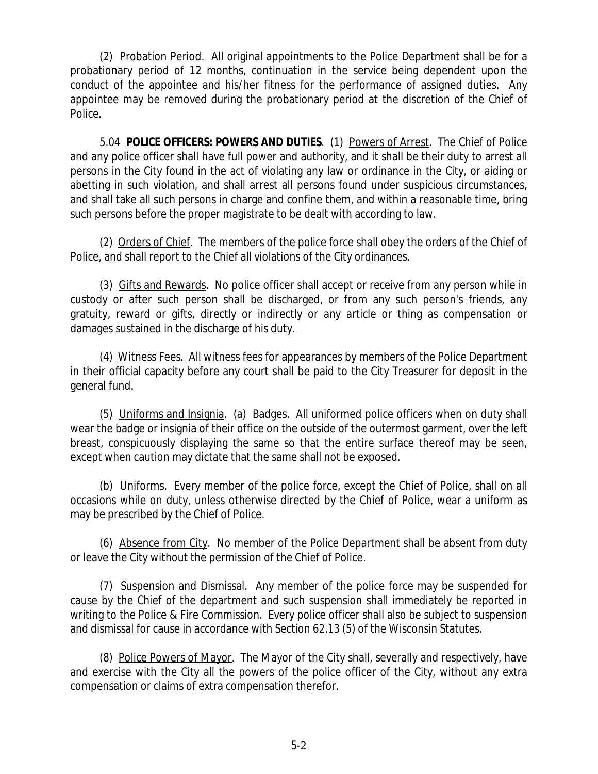(2) Probation Period. All original appointments to the Police Department shall be for a probationary period of 12 months, continuation in the service being dependent upon the conduct of the appointee and his/her fitness for the performance of assigned duties. Any appointee may be removed during the probationary period at the discretion of the Chief of Police.

5.04 **POLICE OFFICERS: POWERS AND DUTIES**. (1) Powers of Arrest. The Chief of Police and any police officer shall have full power and authority, and it shall be their duty to arrest all persons in the City found in the act of violating any law or ordinance in the City, or aiding or abetting in such violation, and shall arrest all persons found under suspicious circumstances, and shall take all such persons in charge and confine them, and within a reasonable time, bring such persons before the proper magistrate to be dealt with according to law.

(2) Orders of Chief. The members of the police force shall obey the orders of the Chief of Police, and shall report to the Chief all violations of the City ordinances.

(3) Gifts and Rewards. No police officer shall accept or receive from any person while in custody or after such person shall be discharged, or from any such person's friends, any gratuity, reward or gifts, directly or indirectly or any article or thing as compensation or damages sustained in the discharge of his duty.

(4) Witness Fees. All witness fees for appearances by members of the Police Department in their official capacity before any court shall be paid to the City Treasurer for deposit in the general fund.

(5) Uniforms and Insignia. (a) Badges. All uniformed police officers when on duty shall wear the badge or insignia of their office on the outside of the outermost garment, over the left breast, conspicuously displaying the same so that the entire surface thereof may be seen, except when caution may dictate that the same shall not be exposed.

(b) Uniforms. Every member of the police force, except the Chief of Police, shall on all occasions while on duty, unless otherwise directed by the Chief of Police, wear a uniform as may be prescribed by the Chief of Police.

(6) Absence from City. No member of the Police Department shall be absent from duty or leave the City without the permission of the Chief of Police.

(7) Suspension and Dismissal. Any member of the police force may be suspended for cause by the Chief of the department and such suspension shall immediately be reported in writing to the Police & Fire Commission. Every police officer shall also be subject to suspension and dismissal for cause in accordance with Section 62.13 (5) of the Wisconsin Statutes.

(8) Police Powers of Mayor. The Mayor of the City shall, severally and respectively, have and exercise with the City all the powers of the police officer of the City, without any extra compensation or claims of extra compensation therefor.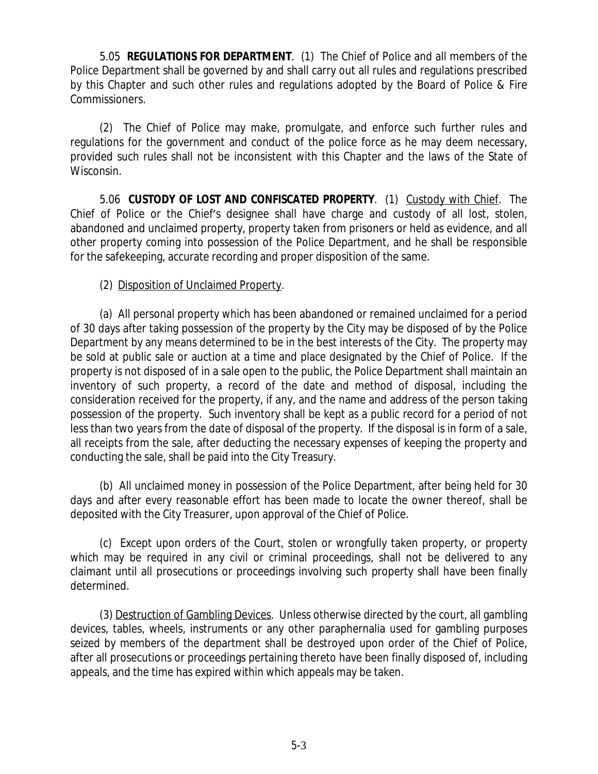5.05 **REGULATIONS FOR DEPARTMENT**. (1) The Chief of Police and all members of the Police Department shall be governed by and shall carry out all rules and regulations prescribed by this Chapter and such other rules and regulations adopted by the Board of Police & Fire Commissioners.

(2) The Chief of Police may make, promulgate, and enforce such further rules and regulations for the government and conduct of the police force as he may deem necessary, provided such rules shall not be inconsistent with this Chapter and the laws of the State of Wisconsin.

5.06 **CUSTODY OF LOST AND CONFISCATED PROPERTY**. (1) Custody with Chief. The Chief of Police or the Chief's designee shall have charge and custody of all lost, stolen, abandoned and unclaimed property, property taken from prisoners or held as evidence, and all other property coming into possession of the Police Department, and he shall be responsible for the safekeeping, accurate recording and proper disposition of the same.

## (2) Disposition of Unclaimed Property.

(a) All personal property which has been abandoned or remained unclaimed for a period of 30 days after taking possession of the property by the City may be disposed of by the Police Department by any means determined to be in the best interests of the City. The property may be sold at public sale or auction at a time and place designated by the Chief of Police. If the property is not disposed of in a sale open to the public, the Police Department shall maintain an inventory of such property, a record of the date and method of disposal, including the consideration received for the property, if any, and the name and address of the person taking possession of the property. Such inventory shall be kept as a public record for a period of not less than two years from the date of disposal of the property. If the disposal is in form of a sale, all receipts from the sale, after deducting the necessary expenses of keeping the property and conducting the sale, shall be paid into the City Treasury.

(b) All unclaimed money in possession of the Police Department, after being held for 30 days and after every reasonable effort has been made to locate the owner thereof, shall be deposited with the City Treasurer, upon approval of the Chief of Police.

(c) Except upon orders of the Court, stolen or wrongfully taken property, or property which may be required in any civil or criminal proceedings, shall not be delivered to any claimant until all prosecutions or proceedings involving such property shall have been finally determined.

(3) Destruction of Gambling Devices. Unless otherwise directed by the court, all gambling devices, tables, wheels, instruments or any other paraphernalia used for gambling purposes seized by members of the department shall be destroyed upon order of the Chief of Police, after all prosecutions or proceedings pertaining thereto have been finally disposed of, including appeals, and the time has expired within which appeals may be taken.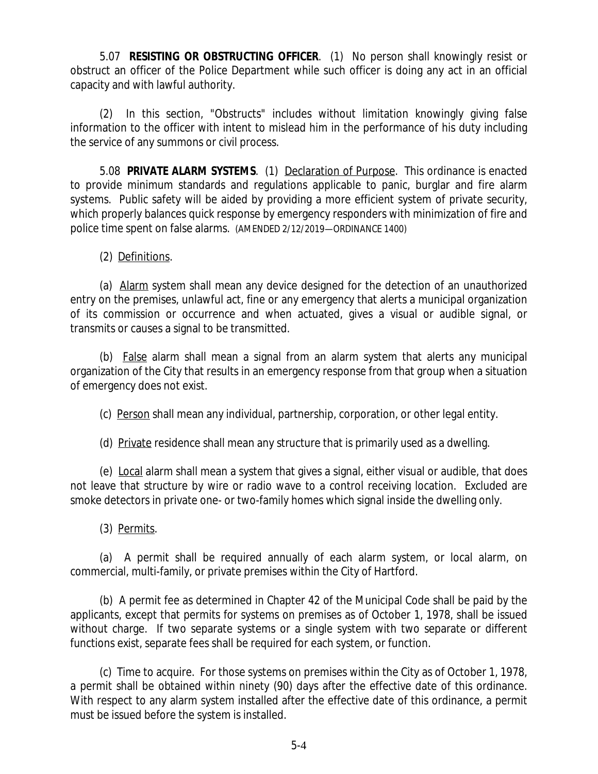5.07 **RESISTING OR OBSTRUCTING OFFICER**. (1) No person shall knowingly resist or obstruct an officer of the Police Department while such officer is doing any act in an official capacity and with lawful authority.

(2) In this section, "Obstructs" includes without limitation knowingly giving false information to the officer with intent to mislead him in the performance of his duty including the service of any summons or civil process.

5.08 **PRIVATE ALARM SYSTEMS**. (1) Declaration of Purpose. This ordinance is enacted to provide minimum standards and regulations applicable to panic, burglar and fire alarm systems. Public safety will be aided by providing a more efficient system of private security, which properly balances quick response by emergency responders with minimization of fire and police time spent on false alarms. (AMENDED 2/12/2019—ORDINANCE 1400)

(2) Definitions.

(a) Alarm system shall mean any device designed for the detection of an unauthorized entry on the premises, unlawful act, fine or any emergency that alerts a municipal organization of its commission or occurrence and when actuated, gives a visual or audible signal, or transmits or causes a signal to be transmitted.

(b) False alarm shall mean a signal from an alarm system that alerts any municipal organization of the City that results in an emergency response from that group when a situation of emergency does not exist.

(c) Person shall mean any individual, partnership, corporation, or other legal entity.

(d) Private residence shall mean any structure that is primarily used as a dwelling.

(e) Local alarm shall mean a system that gives a signal, either visual or audible, that does not leave that structure by wire or radio wave to a control receiving location. Excluded are smoke detectors in private one- or two-family homes which signal inside the dwelling only.

(3) Permits.

(a) A permit shall be required annually of each alarm system, or local alarm, on commercial, multi-family, or private premises within the City of Hartford.

(b) A permit fee as determined in Chapter 42 of the Municipal Code shall be paid by the applicants, except that permits for systems on premises as of October 1, 1978, shall be issued without charge. If two separate systems or a single system with two separate or different functions exist, separate fees shall be required for each system, or function.

(c) Time to acquire. For those systems on premises within the City as of October 1, 1978, a permit shall be obtained within ninety (90) days after the effective date of this ordinance. With respect to any alarm system installed after the effective date of this ordinance, a permit must be issued before the system is installed.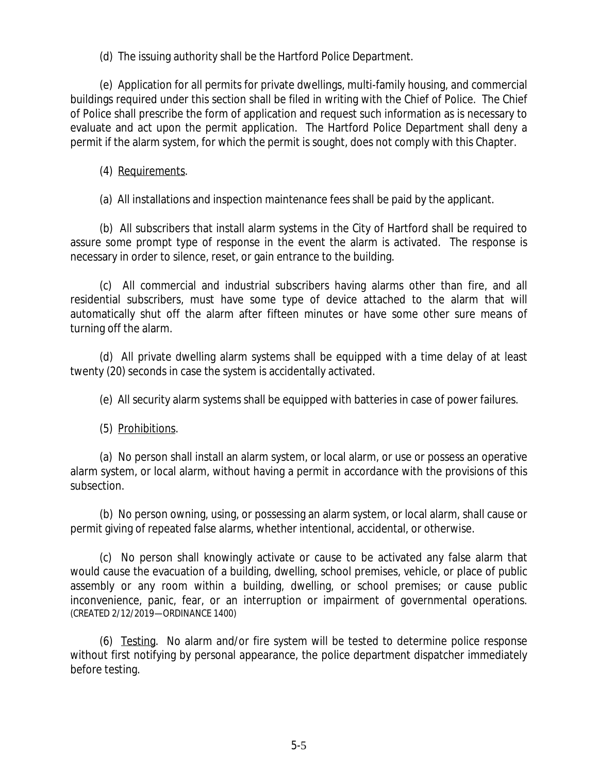(d) The issuing authority shall be the Hartford Police Department.

(e) Application for all permits for private dwellings, multi-family housing, and commercial buildings required under this section shall be filed in writing with the Chief of Police. The Chief of Police shall prescribe the form of application and request such information as is necessary to evaluate and act upon the permit application. The Hartford Police Department shall deny a permit if the alarm system, for which the permit is sought, does not comply with this Chapter.

(4) Requirements.

(a) All installations and inspection maintenance fees shall be paid by the applicant.

(b) All subscribers that install alarm systems in the City of Hartford shall be required to assure some prompt type of response in the event the alarm is activated. The response is necessary in order to silence, reset, or gain entrance to the building.

(c) All commercial and industrial subscribers having alarms other than fire, and all residential subscribers, must have some type of device attached to the alarm that will automatically shut off the alarm after fifteen minutes or have some other sure means of turning off the alarm.

(d) All private dwelling alarm systems shall be equipped with a time delay of at least twenty (20) seconds in case the system is accidentally activated.

(e) All security alarm systems shall be equipped with batteries in case of power failures.

(5) Prohibitions.

(a) No person shall install an alarm system, or local alarm, or use or possess an operative alarm system, or local alarm, without having a permit in accordance with the provisions of this subsection.

(b) No person owning, using, or possessing an alarm system, or local alarm, shall cause or permit giving of repeated false alarms, whether intentional, accidental, or otherwise.

(c) No person shall knowingly activate or cause to be activated any false alarm that would cause the evacuation of a building, dwelling, school premises, vehicle, or place of public assembly or any room within a building, dwelling, or school premises; or cause public inconvenience, panic, fear, or an interruption or impairment of governmental operations. (CREATED 2/12/2019—ORDINANCE 1400)

(6) Testing. No alarm and/or fire system will be tested to determine police response without first notifying by personal appearance, the police department dispatcher immediately before testing.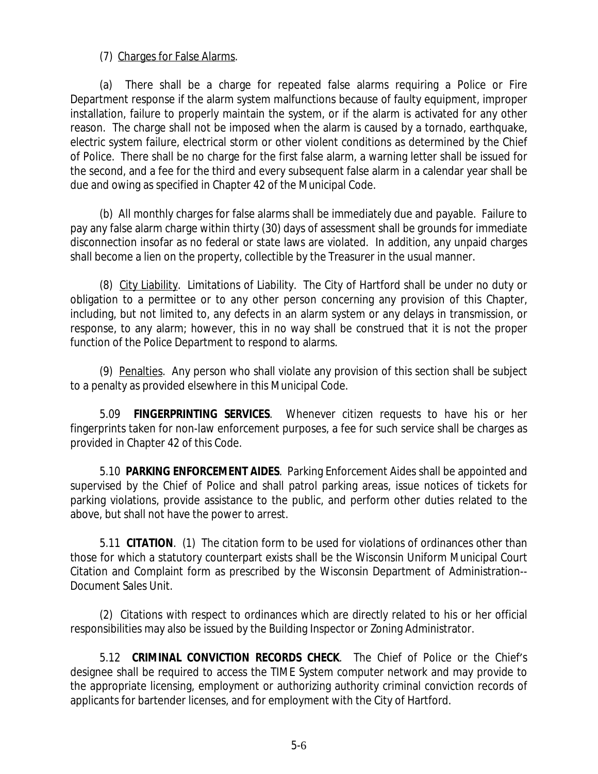## (7) Charges for False Alarms.

(a) There shall be a charge for repeated false alarms requiring a Police or Fire Department response if the alarm system malfunctions because of faulty equipment, improper installation, failure to properly maintain the system, or if the alarm is activated for any other reason. The charge shall not be imposed when the alarm is caused by a tornado, earthquake, electric system failure, electrical storm or other violent conditions as determined by the Chief of Police. There shall be no charge for the first false alarm, a warning letter shall be issued for the second, and a fee for the third and every subsequent false alarm in a calendar year shall be due and owing as specified in Chapter 42 of the Municipal Code.

(b) All monthly charges for false alarms shall be immediately due and payable. Failure to pay any false alarm charge within thirty (30) days of assessment shall be grounds for immediate disconnection insofar as no federal or state laws are violated. In addition, any unpaid charges shall become a lien on the property, collectible by the Treasurer in the usual manner.

(8) City Liability. Limitations of Liability. The City of Hartford shall be under no duty or obligation to a permittee or to any other person concerning any provision of this Chapter, including, but not limited to, any defects in an alarm system or any delays in transmission, or response, to any alarm; however, this in no way shall be construed that it is not the proper function of the Police Department to respond to alarms.

(9) Penalties. Any person who shall violate any provision of this section shall be subject to a penalty as provided elsewhere in this Municipal Code.

5.09 **FINGERPRINTING SERVICES**. Whenever citizen requests to have his or her fingerprints taken for non-law enforcement purposes, a fee for such service shall be charges as provided in Chapter 42 of this Code.

5.10 **PARKING ENFORCEMENT AIDES**. Parking Enforcement Aides shall be appointed and supervised by the Chief of Police and shall patrol parking areas, issue notices of tickets for parking violations, provide assistance to the public, and perform other duties related to the above, but shall not have the power to arrest.

5.11 **CITATION**. (1) The citation form to be used for violations of ordinances other than those for which a statutory counterpart exists shall be the Wisconsin Uniform Municipal Court Citation and Complaint form as prescribed by the Wisconsin Department of Administration-- Document Sales Unit.

(2) Citations with respect to ordinances which are directly related to his or her official responsibilities may also be issued by the Building Inspector or Zoning Administrator.

5.12 **CRIMINAL CONVICTION RECORDS CHECK**. The Chief of Police or the Chief's designee shall be required to access the TIME System computer network and may provide to the appropriate licensing, employment or authorizing authority criminal conviction records of applicants for bartender licenses, and for employment with the City of Hartford.